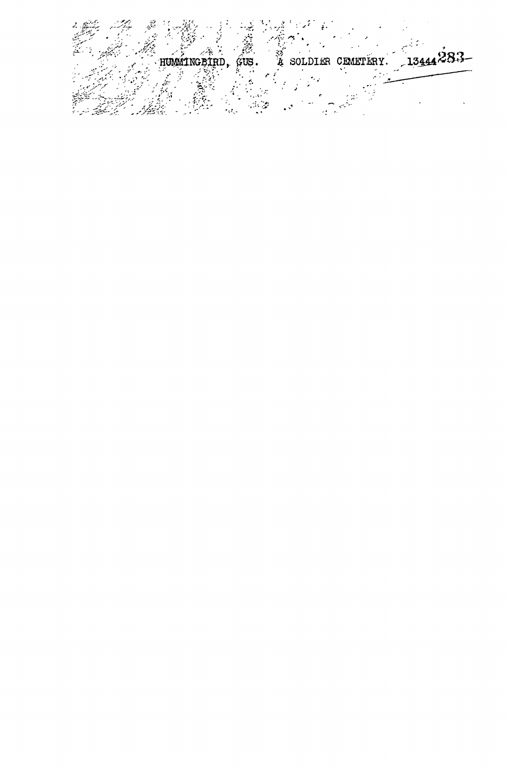Ź, A SOLDIER CEMETERY. 1344283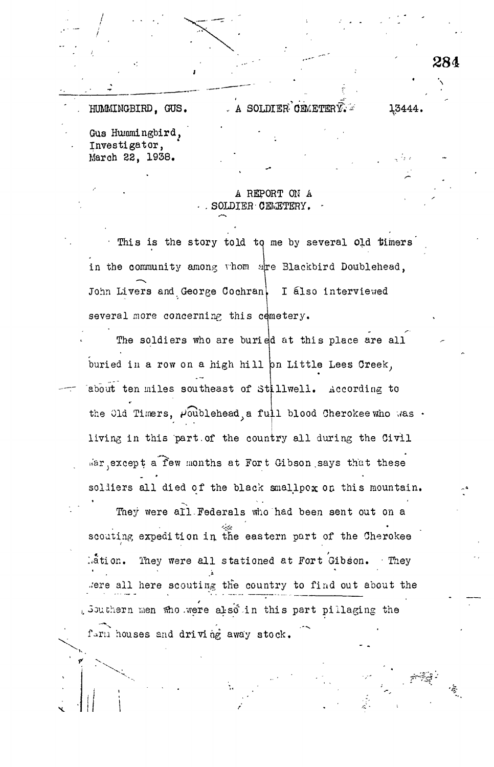13444.

A SOLDIER OFMETER  $\widehat{Y}$ . HUMMINGBIRD, GUS. Gus Hummingbird, Investigator, March 22, 1938.

## A REPORT ON A SOLDIER CEMETERY.

This is the story told to me by several old timers in the community among whom are Blackbird Doublehead, John Livers and George Cochran, I also interviewed several more concerning this cemetery.

The soldiers who are buried at this place are all buried in a row on a high hill on Little Lees Creek, about ten miles southeast of Stillwell. According to the Old Timers,  $P_{\text{oublehead}}$ , a full blood Cherokee who was. living in this part of the country all during the Civil War except a few months at Fort Gibson says that these soldiers all died of the black smallpox on this mountain. They were all Federals who had been sent out on a scouting expedition in the eastern part of the Cherokee They were all stationed at Fort Gibson. They  $\lambda$ ation. were all here scouting the country to find out about the , Southern men who were also in this part pillaging the farm houses and driving away stock.